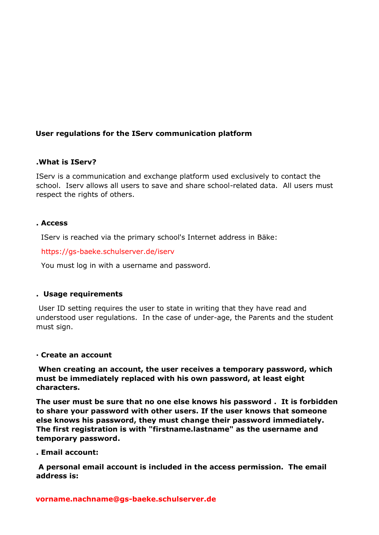# **User regulations for the IServ communication platform**

## **.What is IServ?**

IServ is a communication and exchange platform used exclusively to contact the school. Iserv allows all users to save and share school-related data. All users must respect the rights of others.

## **. Access**

IServ is reached via the primary school's Internet address in Bäke:

https://gs-baeke.schulserver.de/iserv

You must log in with a username and password.

# **. Usage requirements**

User ID setting requires the user to state in writing that they have read and understood user regulations. In the case of under-age, the Parents and the student must sign.

### **· Create an account**

**When creating an account, the user receives a temporary password, which must be immediately replaced with his own password, at least eight characters.** 

**The user must be sure that no one else knows his password . It is forbidden to share your password with other users. If the user knows that someone else knows his password, they must change their password immediately. The first registration is with "firstname.lastname" as the username and temporary password.**

**. Email account:**

**A personal email account is included in the access permission. The email address is:**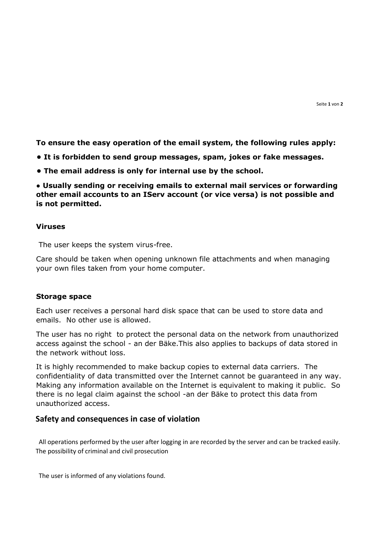**To ensure the easy operation of the email system, the following rules apply:**

- **It is forbidden to send group messages, spam, jokes or fake messages.**
- **The email address is only for internal use by the school.**

**● Usually sending or receiving emails to external mail services or forwarding other email accounts to an IServ account (or vice versa) is not possible and is not permitted.**

#### **Viruses**

The user keeps the system virus-free.

Care should be taken when opening unknown file attachments and when managing your own files taken from your home computer.

#### **Storage space**

Each user receives a personal hard disk space that can be used to store data and emails. No other use is allowed.

The user has no right to protect the personal data on the network from unauthorized access against the school - an der Bäke.This also applies to backups of data stored in the network without loss.

It is highly recommended to make backup copies to external data carriers. The confidentiality of data transmitted over the Internet cannot be guaranteed in any way. Making any information available on the Internet is equivalent to making it public. So there is no legal claim against the school -an der Bäke to protect this data from unauthorized access.

### **Safety and consequences in case of violation**

 All operations performed by the user after logging in are recorded by the server and can be tracked easily. The possibility of criminal and civil prosecution

The user is informed of any violations found.